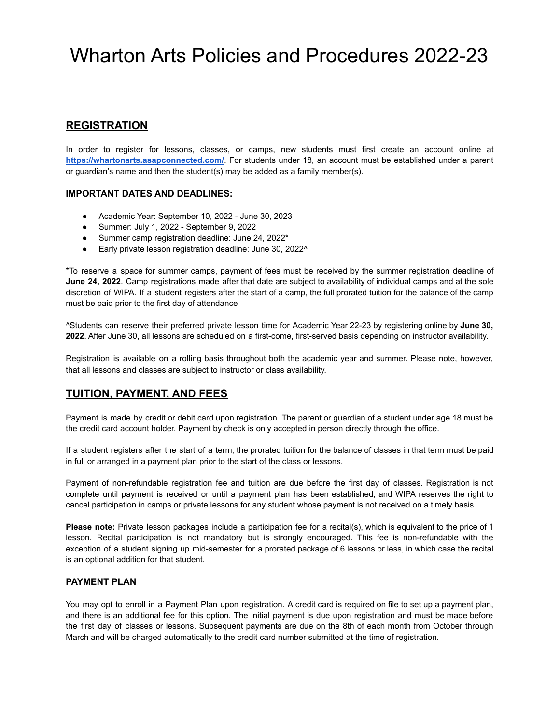# **REGISTRATION**

In order to register for lessons, classes, or camps, new students must first create an account online at **<https://whartonarts.asapconnected.com/>**. For students under 18, an account must be established under a parent or guardian's name and then the student(s) may be added as a family member(s).

#### **IMPORTANT DATES AND DEADLINES:**

- Academic Year: September 10, 2022 June 30, 2023
- Summer: July 1, 2022 September 9, 2022
- Summer camp registration deadline: June 24, 2022\*
- Early private lesson registration deadline: June 30, 2022^

\*To reserve a space for summer camps, payment of fees must be received by the summer registration deadline of **June 24, 2022**. Camp registrations made after that date are subject to availability of individual camps and at the sole discretion of WIPA. If a student registers after the start of a camp, the full prorated tuition for the balance of the camp must be paid prior to the first day of attendance

^Students can reserve their preferred private lesson time for Academic Year 22-23 by registering online by **June 30, 2022**. After June 30, all lessons are scheduled on a first-come, first-served basis depending on instructor availability.

Registration is available on a rolling basis throughout both the academic year and summer. Please note, however, that all lessons and classes are subject to instructor or class availability.

### **TUITION, PAYMENT, AND FEES**

Payment is made by credit or debit card upon registration. The parent or guardian of a student under age 18 must be the credit card account holder. Payment by check is only accepted in person directly through the office.

If a student registers after the start of a term, the prorated tuition for the balance of classes in that term must be paid in full or arranged in a payment plan prior to the start of the class or lessons.

Payment of non-refundable registration fee and tuition are due before the first day of classes. Registration is not complete until payment is received or until a payment plan has been established, and WIPA reserves the right to cancel participation in camps or private lessons for any student whose payment is not received on a timely basis.

**Please note:** Private lesson packages include a participation fee for a recital(s), which is equivalent to the price of 1 lesson. Recital participation is not mandatory but is strongly encouraged. This fee is non-refundable with the exception of a student signing up mid-semester for a prorated package of 6 lessons or less, in which case the recital is an optional addition for that student.

#### **PAYMENT PLAN**

You may opt to enroll in a Payment Plan upon registration. A credit card is required on file to set up a payment plan, and there is an additional fee for this option. The initial payment is due upon registration and must be made before the first day of classes or lessons. Subsequent payments are due on the 8th of each month from October through March and will be charged automatically to the credit card number submitted at the time of registration.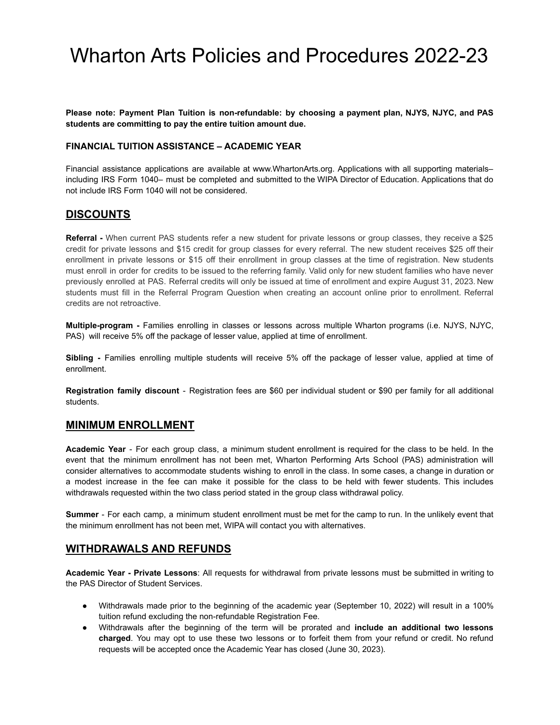**Please note: Payment Plan Tuition is non-refundable: by choosing a payment plan, NJYS, NJYC, and PAS students are committing to pay the entire tuition amount due.**

#### **FINANCIAL TUITION ASSISTANCE – ACADEMIC YEAR**

Financial assistance applications are available at www.WhartonArts.org. Applications with all supporting materials– including IRS Form 1040– must be completed and submitted to the WIPA Director of Education. Applications that do not include IRS Form 1040 will not be considered.

### **DISCOUNTS**

**Referral -** When current PAS students refer a new student for private lessons or group classes, they receive a \$25 credit for private lessons and \$15 credit for group classes for every referral. The new student receives \$25 off their enrollment in private lessons or \$15 off their enrollment in group classes at the time of registration. New students must enroll in order for credits to be issued to the referring family. Valid only for new student families who have never previously enrolled at PAS. Referral credits will only be issued at time of enrollment and expire August 31, 2023. New students must fill in the Referral Program Question when creating an account online prior to enrollment. Referral credits are not retroactive.

**Multiple-program -** Families enrolling in classes or lessons across multiple Wharton programs (i.e. NJYS, NJYC, PAS) will receive 5% off the package of lesser value, applied at time of enrollment.

**Sibling -** Families enrolling multiple students will receive 5% off the package of lesser value, applied at time of enrollment.

**Registration family discount** - Registration fees are \$60 per individual student or \$90 per family for all additional students.

#### **MINIMUM ENROLLMENT**

**Academic Year** - For each group class, a minimum student enrollment is required for the class to be held. In the event that the minimum enrollment has not been met, Wharton Performing Arts School (PAS) administration will consider alternatives to accommodate students wishing to enroll in the class. In some cases, a change in duration or a modest increase in the fee can make it possible for the class to be held with fewer students. This includes withdrawals requested within the two class period stated in the group class withdrawal policy.

**Summer** - For each camp, a minimum student enrollment must be met for the camp to run. In the unlikely event that the minimum enrollment has not been met, WIPA will contact you with alternatives.

### **WITHDRAWALS AND REFUNDS**

**Academic Year - Private Lessons**: All requests for withdrawal from private lessons must be submitted in writing to the PAS Director of Student Services.

- Withdrawals made prior to the beginning of the academic year (September 10, 2022) will result in a 100% tuition refund excluding the non-refundable Registration Fee.
- Withdrawals after the beginning of the term will be prorated and **include an additional two lessons charged**. You may opt to use these two lessons or to forfeit them from your refund or credit. No refund requests will be accepted once the Academic Year has closed (June 30, 2023).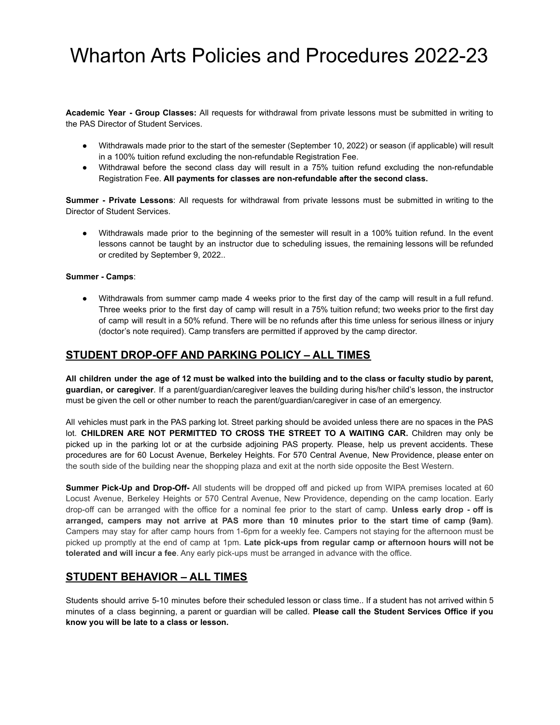**Academic Year - Group Classes:** All requests for withdrawal from private lessons must be submitted in writing to the PAS Director of Student Services.

- Withdrawals made prior to the start of the semester (September 10, 2022) or season (if applicable) will result in a 100% tuition refund excluding the non-refundable Registration Fee.
- Withdrawal before the second class day will result in a 75% tuition refund excluding the non-refundable Registration Fee. **All payments for classes are non-refundable after the second class.**

**Summer - Private Lessons**: All requests for withdrawal from private lessons must be submitted in writing to the Director of Student Services.

● Withdrawals made prior to the beginning of the semester will result in a 100% tuition refund. In the event lessons cannot be taught by an instructor due to scheduling issues, the remaining lessons will be refunded or credited by September 9, 2022..

#### **Summer - Camps**:

● Withdrawals from summer camp made 4 weeks prior to the first day of the camp will result in a full refund. Three weeks prior to the first day of camp will result in a 75% tuition refund; two weeks prior to the first day of camp will result in a 50% refund. There will be no refunds after this time unless for serious illness or injury (doctor's note required). Camp transfers are permitted if approved by the camp director.

### **STUDENT DROP-OFF AND PARKING POLICY – ALL TIMES**

All children under the age of 12 must be walked into the building and to the class or faculty studio by parent, **guardian, or caregiver**. If a parent/guardian/caregiver leaves the building during his/her child's lesson, the instructor must be given the cell or other number to reach the parent/guardian/caregiver in case of an emergency.

All vehicles must park in the PAS parking lot. Street parking should be avoided unless there are no spaces in the PAS lot. **CHILDREN ARE NOT PERMITTED TO CROSS THE STREET TO A WAITING CAR.** Children may only be picked up in the parking lot or at the curbside adjoining PAS property. Please, help us prevent accidents. These procedures are for 60 Locust Avenue, Berkeley Heights. For 570 Central Avenue, New Providence, please enter on the south side of the building near the shopping plaza and exit at the north side opposite the Best Western.

**Summer Pick-Up and Drop-Off-** All students will be dropped off and picked up from WIPA premises located at 60 Locust Avenue, Berkeley Heights or 570 Central Avenue, New Providence, depending on the camp location. Early drop-off can be arranged with the office for a nominal fee prior to the start of camp. **Unless early drop - off is** arranged, campers may not arrive at PAS more than 10 minutes prior to the start time of camp (9am). Campers may stay for after camp hours from 1-6pm for a weekly fee. Campers not staying for the afternoon must be picked up promptly at the end of camp at 1pm. **Late pick-ups from regular camp or afternoon hours will not be tolerated and will incur a fee**. Any early pick-ups must be arranged in advance with the office.

### **STUDENT BEHAVIOR – ALL TIMES**

Students should arrive 5-10 minutes before their scheduled lesson or class time.. If a student has not arrived within 5 minutes of a class beginning, a parent or guardian will be called. **Please call the Student Services Office if you know you will be late to a class or lesson.**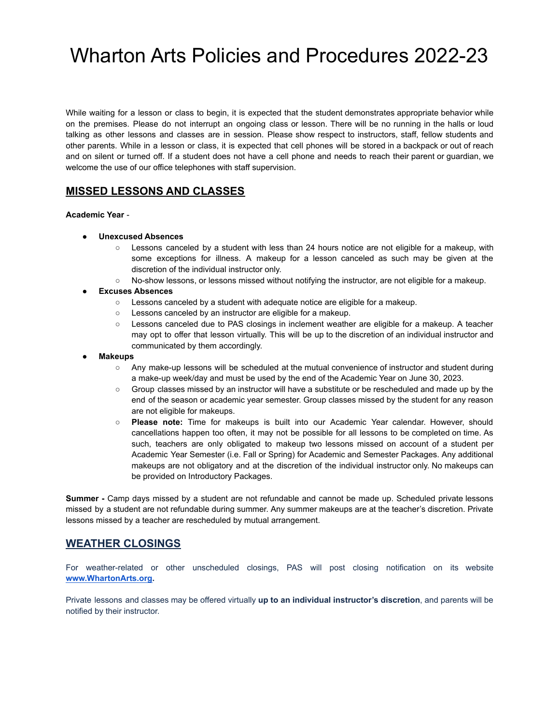While waiting for a lesson or class to begin, it is expected that the student demonstrates appropriate behavior while on the premises. Please do not interrupt an ongoing class or lesson. There will be no running in the halls or loud talking as other lessons and classes are in session. Please show respect to instructors, staff, fellow students and other parents. While in a lesson or class, it is expected that cell phones will be stored in a backpack or out of reach and on silent or turned off. If a student does not have a cell phone and needs to reach their parent or guardian, we welcome the use of our office telephones with staff supervision.

# **MISSED LESSONS AND CLASSES**

**Academic Year** -

- **● Unexcused Absences**
	- Lessons canceled by a student with less than 24 hours notice are not eligible for a makeup, with some exceptions for illness. A makeup for a lesson canceled as such may be given at the discretion of the individual instructor only.
	- No-show lessons, or lessons missed without notifying the instructor, are not eligible for a makeup.
- **● Excuses Absences**
	- Lessons canceled by a student with adequate notice are eligible for a makeup.
	- Lessons canceled by an instructor are eligible for a makeup.
	- Lessons canceled due to PAS closings in inclement weather are eligible for a makeup. A teacher may opt to offer that lesson virtually. This will be up to the discretion of an individual instructor and communicated by them accordingly.
- **● Makeups**
	- Any make-up lessons will be scheduled at the mutual convenience of instructor and student during a make-up week/day and must be used by the end of the Academic Year on June 30, 2023.
	- Group classes missed by an instructor will have a substitute or be rescheduled and made up by the end of the season or academic year semester. Group classes missed by the student for any reason are not eligible for makeups.
	- **Please note:** Time for makeups is built into our Academic Year calendar. However, should cancellations happen too often, it may not be possible for all lessons to be completed on time. As such, teachers are only obligated to makeup two lessons missed on account of a student per Academic Year Semester (i.e. Fall or Spring) for Academic and Semester Packages. Any additional makeups are not obligatory and at the discretion of the individual instructor only. No makeups can be provided on Introductory Packages.

**Summer -** Camp days missed by a student are not refundable and cannot be made up. Scheduled private lessons missed by a student are not refundable during summer. Any summer makeups are at the teacher's discretion. Private lessons missed by a teacher are rescheduled by mutual arrangement.

## **WEATHER CLOSINGS**

For weather-related or other unscheduled closings, PAS will post closing notification on its website **[www.WhartonArts.org.](http://www.whartonarts.org)**

Private lessons and classes may be offered virtually **up to an individual instructor's discretion**, and parents will be notified by their instructor.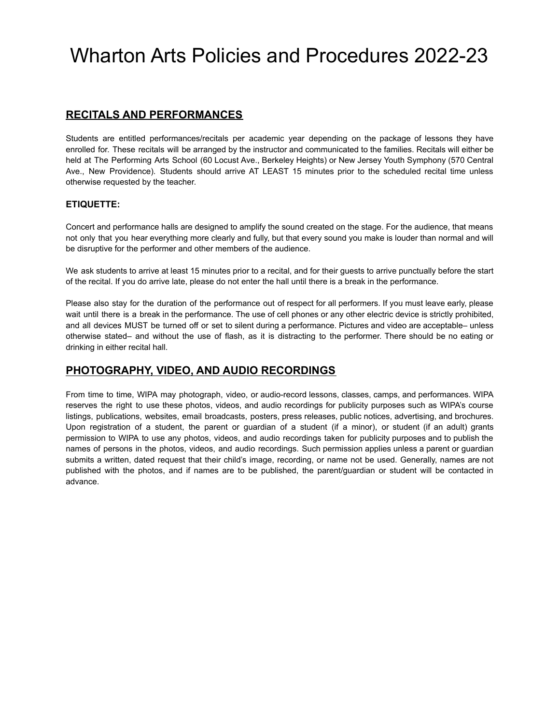## **RECITALS AND PERFORMANCES**

Students are entitled performances/recitals per academic year depending on the package of lessons they have enrolled for. These recitals will be arranged by the instructor and communicated to the families. Recitals will either be held at The Performing Arts School (60 Locust Ave., Berkeley Heights) or New Jersey Youth Symphony (570 Central Ave., New Providence). Students should arrive AT LEAST 15 minutes prior to the scheduled recital time unless otherwise requested by the teacher.

#### **ETIQUETTE:**

Concert and performance halls are designed to amplify the sound created on the stage. For the audience, that means not only that you hear everything more clearly and fully, but that every sound you make is louder than normal and will be disruptive for the performer and other members of the audience.

We ask students to arrive at least 15 minutes prior to a recital, and for their guests to arrive punctually before the start of the recital. If you do arrive late, please do not enter the hall until there is a break in the performance.

Please also stay for the duration of the performance out of respect for all performers. If you must leave early, please wait until there is a break in the performance. The use of cell phones or any other electric device is strictly prohibited, and all devices MUST be turned off or set to silent during a performance. Pictures and video are acceptable– unless otherwise stated– and without the use of flash, as it is distracting to the performer. There should be no eating or drinking in either recital hall.

### **PHOTOGRAPHY, VIDEO, AND AUDIO RECORDINGS**

From time to time, WIPA may photograph, video, or audio-record lessons, classes, camps, and performances. WIPA reserves the right to use these photos, videos, and audio recordings for publicity purposes such as WIPA's course listings, publications, websites, email broadcasts, posters, press releases, public notices, advertising, and brochures. Upon registration of a student, the parent or guardian of a student (if a minor), or student (if an adult) grants permission to WIPA to use any photos, videos, and audio recordings taken for publicity purposes and to publish the names of persons in the photos, videos, and audio recordings. Such permission applies unless a parent or guardian submits a written, dated request that their child's image, recording, or name not be used. Generally, names are not published with the photos, and if names are to be published, the parent/guardian or student will be contacted in advance.